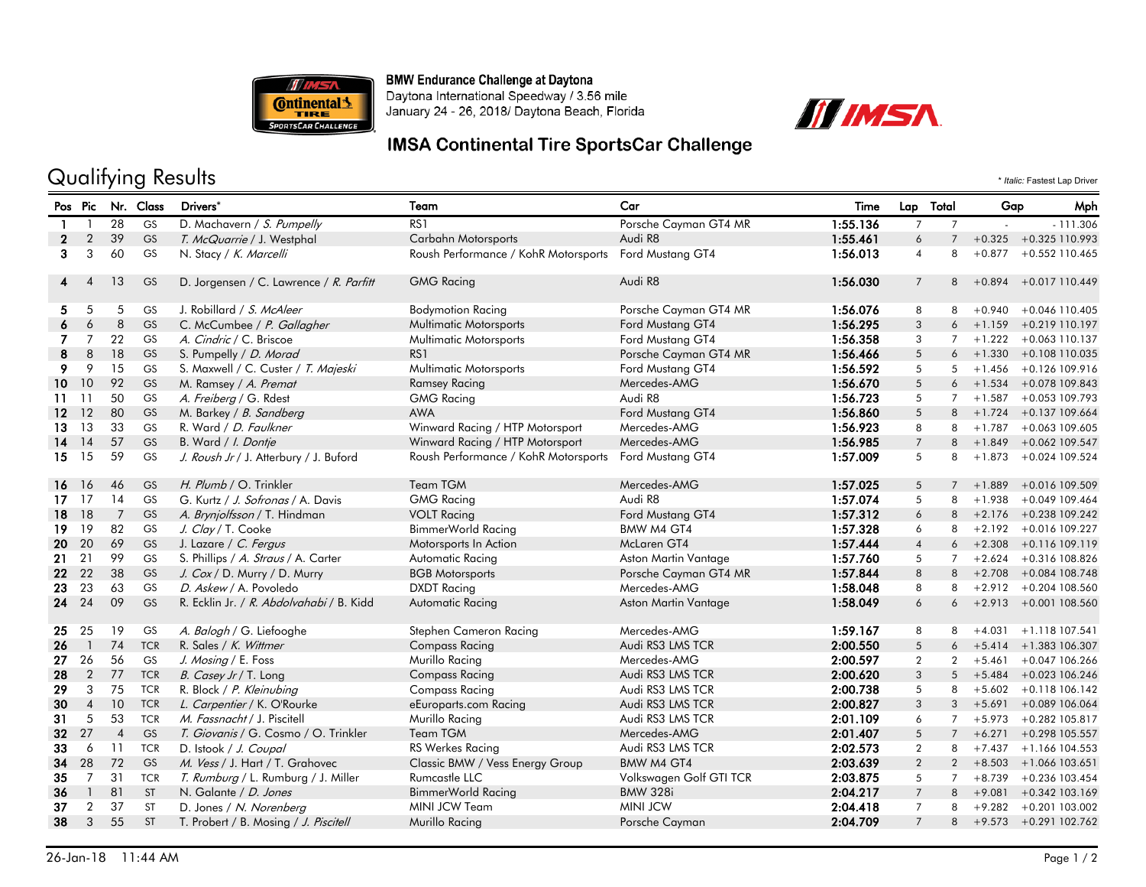

**BMW Endurance Challenge at Daytona** 

Daytona International Speedway / 3.56 mile January 24 - 26, 2018/ Daytona Beach, Florida



## **IMSA Continental Tire SportsCar Challenge**

## Qualifying Results \* *Italic:* Fastest Lap Driver

Pos Pic Nr. Class Drivers\* Team Car Time Lap Total Gap Mph 28 GS D. Machavern / S. Pumpelly RS1 RS1 Porsche Cayman GT4 MR 1:55.136 7 7 - - 111.306 2 2 39 GS T. McQuarrie / J. Westphal Carbahn Motorsports Audi R8 1:55.461 6 7 +0.325 +0.325 110.993 3 3 4 56.013 60 GS N. Stacy / K. Marcelli Roush Performance / KohR Motorsports Ford Mustang GT4 1:56.013 4 8 +0.877 +0.552 110.465 4 4 13 GS D. Jorgensen / C. Lawrence / R. Parfitt GMG Racing Audi R8 1:56.030 7 8 +0.894 +0.017 110.449 5 5 5 GS J. Robillard / S. McAleer Bodymotion Racing Porsche Cayman GT4 MR 1:56.076 8 8 +0.940 +0.046 110.405 6 6 8 GS C. McCumbee */ P. Gallagher* Multimatic Motorsports Ford Mustang GT4 1:56.295 3 6 +1.159 +0.219 110.197 7 7 22 GS *A. Cindric /* C. Briscoe Multimatic Motorsports Ford Mustang GT4 1:56.358 3 7 +1.222 +0.063 110.137 8 8 18 GS S. Pumpelly *| D. Morad* RS1 RS1 Porsche Cayman GT4 MR 1:56.466 5 6 +1.330 +0.108 110.035 9 9 15 GS S. Maxwell / C. Custer / T. Majeski Multimatic Motorsports Ford Mustang GT4 1:56.592 5 5 +1.456 +0.126 109.916 10 10 92 GS M. Ramsey / *A. Premat* Ramsey Racing Racing Mercedes-AMG 1:5**6.670** 5 6 +1.534 +0.078 109.843 11 11 50 GS *A. Freiberg /* G. Rdest GMG Racing Audi R8 1:**56.723** 5 7 +1.587 +0.053 109.793 12 12 80 GS M. Barkey / *B. Sandberg* AWA AWA Ford Mustang GT4 1:5**6.860** 5 8 +1.724 +0.137 109.664 13 13 33 GS R. Ward / D. Faulkner Winward Racing / HTP Motorsport Mercedes-AMG 1:56.923 8 8 +1.787 +0.063 109.605 14 14 57 GS B. Ward / *I. Dontje* Winward Racing / HTP Motorsport Mercedes-AMG 1:5**6.985** 7 8 +1.849 +0.062 109.547<br>15 15 59 GS *J. Roush Jr /* J. Atterbury / J. Buford Roush Performance / KohR Motorsports Ford Mustang GT4 15 15 59 GS J. Roush Jr / J. Atterbury / J. Buford Roush Performance / KohR Motorsports Ford Mustang GT4 1:57.009 5 8 +1.873 +0.024 109.524 16 16 46 GS H. Plumb / O. Trinkler Team TGM TGM Mercedes-AMG 1:57.025 5 7 +1.889 +0.016 109.509 17 17 14 GS G. Kurtz / J. Sofronas / A. Davis GMG Racing Audi R8 1:57.074 5 8 +1.938 +0.049 109.464 18 18 7 GS *A. Brynjolfsson* / T. Hindman VOLT Racing Ford Mustang GT4 1:57.312 6 8 +2.176 +0.238 109.242 19 19 82 GS *J. Clay /* T. Cooke BimmerWorld Racing BMW M4 GT4 1:**57.328** 6 8 +2.192 +0.016 109.227 20 20 69 GS J. Lazare / *C. Fergus* Motorsports In Action McLaren GT4 1:**57.444** 4 6 +2.308 +0.116 109.119 21 21 99 GS S. Phillips / A. Straus / A. Carter Automatic Racing Aston Martin Vantage 1:57.760 5 7 +2.624 +0.316 108.826 22 22 38 GS J. Cox / D. Murry / D. Murry BGB Motorsports Porsche Cayman GT4 MR 1:57.844 8 8 +2.708 +0.084 108.748 23 23 63 GS D. Askew / A. Povoledo DXDT Racing Mercedes-AMG 1:58.048 8 8 +2.912 +0.204 108.560 24 24 09 GS R. Ecklin Jr. / R. Abdolvahabi / B. Kidd Automatic Racing Aston Martin Vantage 1:58.049 6 6 +2.913 +0.001 108.560 25 25 19 GS A. Balogh / G. Liefooghe Stephen Cameron Racing Mercedes-AMG 1:59.167 8 8 +4.031 +1.118 107.541 26 1 74 TCR R. Sales / *K. Wittmer* Compass Racing Audi RS3 LMS TCR 2:00.550 5 6 +5.414 +1.383 106.307 27 26 56 GS J. Mosing / E. Foss Murillo Racing Mercedes-AMG 2:00.597 2 2 +5.461 +0.047 106.266 28 2 77 TCR *B. Casey Jr /* T. Long Compass Racing Audi RS3 LMS TCR 2:00.620 3 5 +5.484 +0.023 106.246 29 3 75 TCR R. Block / P. Kleinubing Compass Racing Audi RS3 LMS TCR 2:00.738 5 8 +5.602 +0.118 106.142 30 4 10 TCR L. Carpentier / K. O'Rourke entering eEuroparts.com Racing Audi RS3 LMS TCR 2:00.827 3 3 +5.691 +0.089 106.064 31 5 53 TCR *M. Fassnacht* / J. Piscitell Murillo Racing Audi RS3 LMS TCR 2:01.109 6 7 +5.973 +0.282 105.817 32 27 4 GS T. Giovanis / G. Cosmo / O. Trinkler Team TGM Mercedes-AMG 2:01.407 5 7 +6.271 +0.298 105.557 33 6 11 TCR D. Istook / J. Coupal RS Werkes Racing Audi RS3 LMS TCR 2:02.573 2 8 +7.437 +1.166 104.553 34 28 72 GS M. Vess / J. Hart / T. Grahovec Classic BMW / Vess Energy Group BMW M4 GT4 2:03.639 2 2 +8.503 +1.066 103.651 35 7 31 TCR T. Rumburg / L. Rumburg / J. Miller Rumcastle LLC Volkswagen Golf GTI TCR 2:03.875 5 7 +8.739 +0.236 103.454 36 1 81 ST N. Galante */ D. Jones* **BimmerWorld Racing BMW 328i 2:04.217** 7 8 +9.081 +0.342 103.169 37 2 37 ST D. Jones / *N. Norenberg* MINI JCW Team MINI JCW MINI JCW MINI JCW 2:04.418 7 8 +9.282 +0.201 103.002<br>38 3 55 ST T. Probert / B. Mosing / *J. Piscitell* Murillo Racing Nurillo Records Porsche Cayman 2:04.**709** 7 38 3 55 ST T. Probert / B. Mosing / J. Piscitell Murillo Racing Porsche Cayman 2:04.709 7 8 +9.573 +0.291 102.762